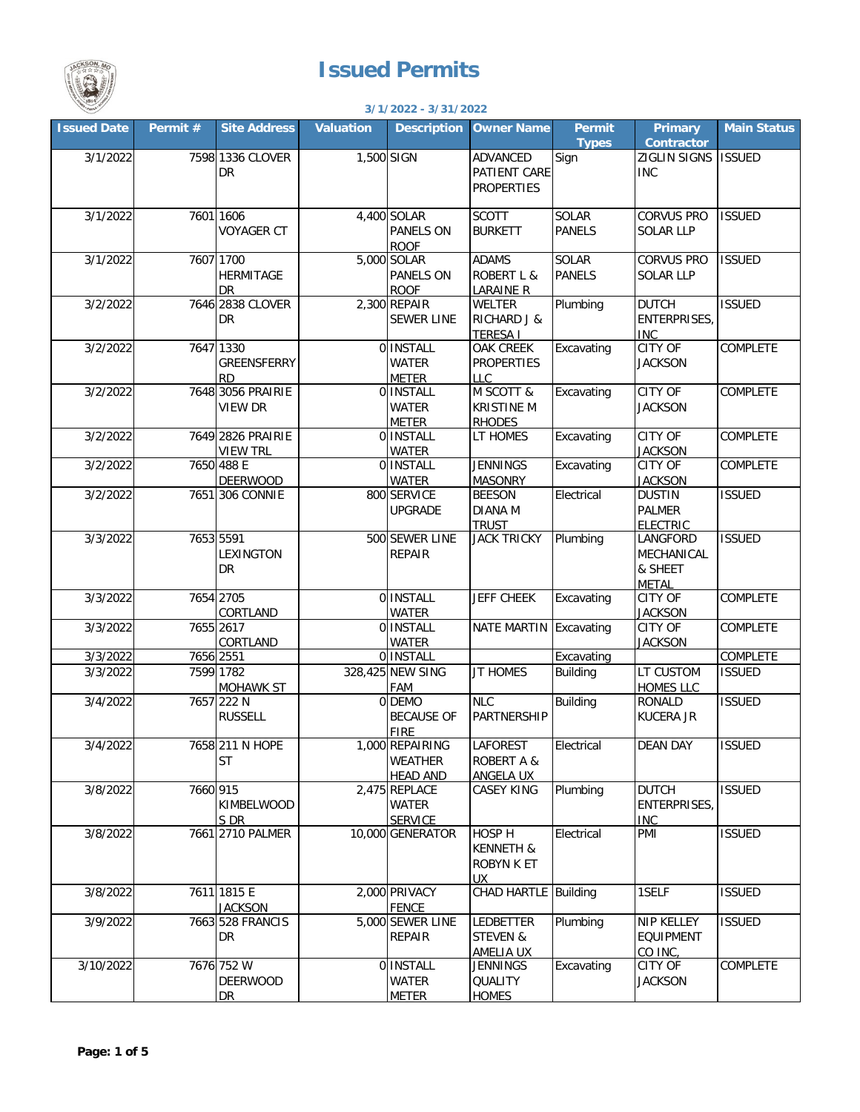

## **Issued Permits**

| <b>TOMO 1814 PM</b> |           |                                            |                  | 3/1/2022 - 3/31/2022                                 |                                                           |                               |                                                   |                    |
|---------------------|-----------|--------------------------------------------|------------------|------------------------------------------------------|-----------------------------------------------------------|-------------------------------|---------------------------------------------------|--------------------|
| <b>Issued Date</b>  | Permit #  | <b>Site Address</b>                        | <b>Valuation</b> | <b>Description</b>                                   | <b>Owner Name</b>                                         | <b>Permit</b><br><b>Types</b> | <b>Primary</b><br><b>Contractor</b>               | <b>Main Status</b> |
| 3/1/2022            |           | 7598 1336 CLOVER<br>DR                     | 1,500 SIGN       |                                                      | <b>ADVANCED</b><br>PATIENT CARE<br><b>PROPERTIES</b>      | Sign                          | ZIGLIN SIGNS<br><b>INC</b>                        | <b>ISSUED</b>      |
| 3/1/2022            |           | 7601 1606<br><b>VOYAGER CT</b>             |                  | 4,400 SOLAR<br>PANELS ON<br><b>ROOF</b>              | <b>SCOTT</b><br><b>BURKETT</b>                            | SOLAR<br><b>PANELS</b>        | CORVUS PRO<br><b>SOLAR LLP</b>                    | <b>ISSUED</b>      |
| 3/1/2022            |           | 7607 1700<br>HERMITAGE<br>DR               |                  | 5,000 SOLAR<br>PANELS ON<br><b>ROOF</b>              | <b>ADAMS</b><br><b>ROBERT L &amp;</b><br><b>LARAINE R</b> | SOLAR<br><b>PANELS</b>        | <b>CORVUS PRO</b><br><b>SOLAR LLP</b>             | <b>ISSUED</b>      |
| 3/2/2022            |           | 7646 2838 CLOVER<br>DR                     |                  | $2,300$ REPAIR<br><b>SEWER LINE</b>                  | WELTER<br>RICHARD J &<br><b>TERESA I</b>                  | Plumbing                      | <b>DUTCH</b><br><b>ENTERPRISES,</b><br><b>INC</b> | <b>ISSUED</b>      |
| 3/2/2022            |           | 7647 1330<br>GREENSFERRY<br><b>RD</b>      |                  | 0 INSTALL<br><b>WATER</b><br><b>METER</b>            | OAK CREEK<br><b>PROPERTIES</b><br>LLC                     | Excavating                    | <b>CITY OF</b><br><b>JACKSON</b>                  | COMPLETE           |
| 3/2/2022            |           | 7648 3056 PRAIRIE<br><b>VIEW DR</b>        |                  | 0 INSTALL<br><b>WATER</b><br><b>METER</b>            | M SCOTT &<br><b>KRISTINE M</b><br><b>RHODES</b>           | Excavating                    | <b>CITY OF</b><br><b>JACKSON</b>                  | COMPLETE           |
| 3/2/2022            |           | 7649 2826 PRAIRIE<br><b>VIEW TRL</b>       |                  | 0 INSTALL<br><b>WATER</b>                            | LT HOMES                                                  | Excavating                    | <b>CITY OF</b><br><b>JACKSON</b>                  | COMPLETE           |
| 3/2/2022            |           | 7650 488 E<br><b>DEERWOOD</b>              |                  | 0 INSTALL<br><b>WATER</b>                            | <b>JENNINGS</b><br><b>MASONRY</b>                         | Excavating                    | <b>CITY OF</b><br><b>JACKSON</b>                  | COMPLETE           |
| 3/2/2022            |           | 7651 306 CONNIE                            |                  | 800 SERVICE<br><b>UPGRADE</b>                        | <b>BEESON</b><br><b>DIANA M</b><br><b>TRUST</b>           | Electrical                    | <b>DUSTIN</b><br><b>PALMER</b><br><b>ELECTRIC</b> | <b>ISSUED</b>      |
| 3/3/2022            |           | 7653 5591<br>LEXINGTON<br><b>DR</b>        |                  | 500 SEWER LINE<br><b>REPAIR</b>                      | <b>JACK TRICKY</b>                                        | Plumbing                      | LANGFORD<br>MECHANICAL<br>& SHEET<br><b>METAL</b> | <b>ISSUED</b>      |
| 3/3/2022            |           | 7654 2705<br>CORTLAND                      |                  | 0 INSTALL<br><b>WATER</b>                            | <b>JEFF CHEEK</b>                                         | Excavating                    | <b>CITY OF</b><br><b>JACKSON</b>                  | COMPLETE           |
| 3/3/2022            |           | 7655 2617<br>CORTLAND                      |                  | 0 INSTALL<br><b>WATER</b>                            | <b>NATE MARTIN</b>                                        | Excavating                    | <b>CITY OF</b><br><b>JACKSON</b>                  | COMPLETE           |
| 3/3/2022            | 7656 2551 |                                            |                  | 0 INSTALL                                            |                                                           | Excavating                    |                                                   | COMPLETE           |
| 3/3/2022            |           | 7599 1782<br><b>MOHAWK ST</b>              |                  | 328,425 NEW SING<br>FAM                              | <b>JT HOMES</b>                                           | <b>Building</b>               | LT CUSTOM<br><b>HOMES LLC</b>                     | <b>ISSUED</b>      |
| 3/4/2022            |           | 7657 222 N<br><b>RUSSELL</b>               |                  | 0 DEMO<br><b>BECAUSE OF</b><br><b>FIRE</b>           | <b>NLC</b><br>PARTNERSHIP                                 | <b>Building</b>               | <b>RONALD</b><br><b>KUCERA JR</b>                 | <b>ISSUED</b>      |
| 3/4/2022            |           | 7658 211 N HOPE<br><b>ST</b>               |                  | 1,000 REPAIRING<br><b>WEATHER</b><br><b>HEAD AND</b> | LAFOREST<br><b>ROBERT A &amp;</b><br>ANGELA UX            | Electrical                    | <b>DEAN DAY</b>                                   | <b>ISSUED</b>      |
| 3/8/2022            | 7660 915  | KIMBELWOOD<br>S DR                         |                  | 2,475 REPLACE<br>WATER<br><b>SERVICE</b>             | <b>CASEY KING</b>                                         | Plumbing                      | <b>DUTCH</b><br><b>ENTERPRISES,</b><br><b>INC</b> | <b>ISSUED</b>      |
| 3/8/2022            |           | 7661 2710 PALMER                           |                  | 10,000 GENERATOR                                     | HOSP H<br>KENNETH &<br>ROBYN K ET<br>UX                   | Electrical                    | PMI                                               | <b>ISSUED</b>      |
| 3/8/2022            |           | 7611 1815 E<br><b>JACKSON</b>              |                  | 2,000 PRIVACY<br><b>FENCE</b>                        | CHAD HARTLE Building                                      |                               | 1SELF                                             | <b>ISSUED</b>      |
| 3/9/2022            |           | 7663 528 FRANCIS<br>DR                     |                  | 5,000 SEWER LINE<br><b>REPAIR</b>                    | <b>LEDBETTER</b><br><b>STEVEN &amp;</b><br>AMELIA UX      | Plumbing                      | <b>NIP KELLEY</b><br><b>EQUIPMENT</b><br>CO INC.  | <b>ISSUED</b>      |
| 3/10/2022           |           | 7676 752 W<br><b>DEERWOOD</b><br><b>DR</b> |                  | 0 INSTALL<br><b>WATER</b><br><b>METER</b>            | <b>JENNINGS</b><br><b>QUALITY</b><br><b>HOMES</b>         | Excavating                    | <b>CITY OF</b><br><b>JACKSON</b>                  | COMPLETE           |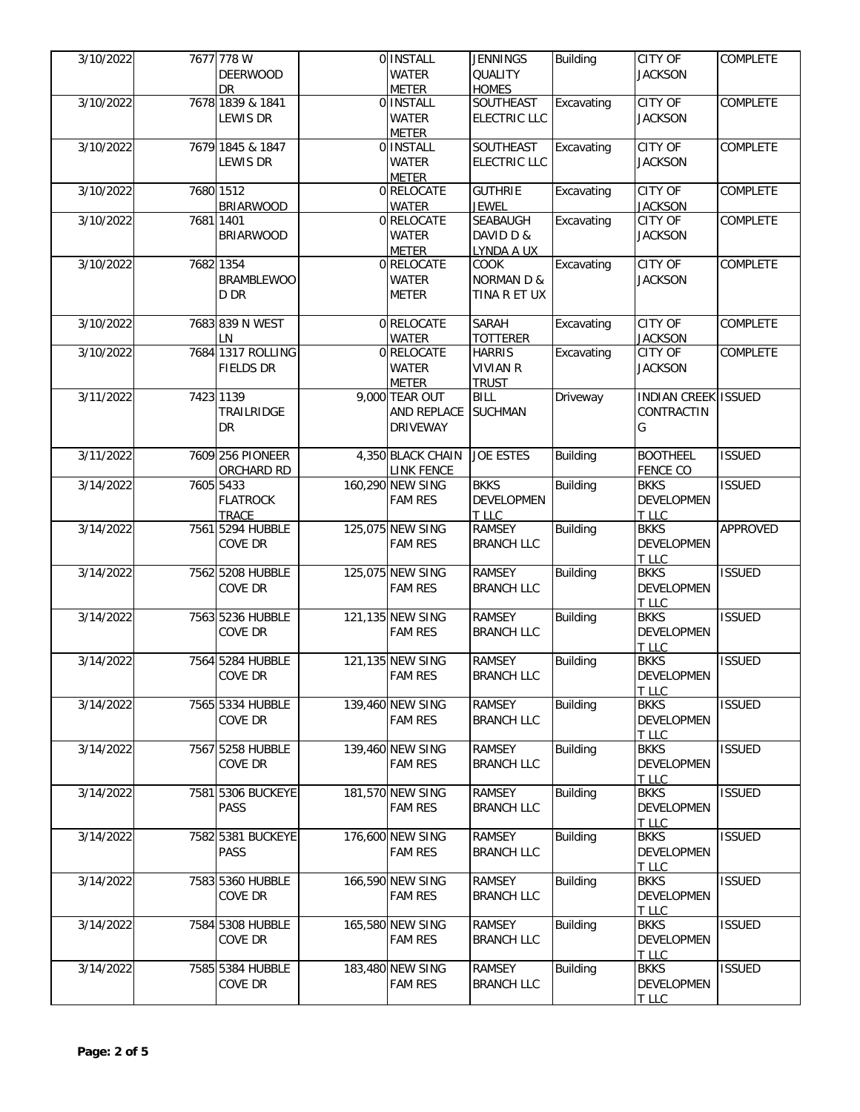| 3/10/2022 |           | 7677 778 W        | 0 INSTALL                  | <b>JENNINGS</b>       | <b>Building</b> | CITY OF                    | COMPLETE        |
|-----------|-----------|-------------------|----------------------------|-----------------------|-----------------|----------------------------|-----------------|
|           |           | <b>DEERWOOD</b>   | <b>WATER</b>               | QUALITY               |                 | <b>JACKSON</b>             |                 |
|           |           | DR                | <b>METER</b>               | <b>HOMES</b>          |                 |                            |                 |
| 3/10/2022 |           | 7678 1839 & 1841  | 0 INSTALL                  | <b>SOUTHEAST</b>      | Excavating      | <b>CITY OF</b>             | COMPLETE        |
|           |           | LEWIS DR          | <b>WATER</b>               | <b>ELECTRIC LLC</b>   |                 | <b>JACKSON</b>             |                 |
|           |           |                   | <b>METER</b>               |                       |                 |                            |                 |
| 3/10/2022 |           | 7679 1845 & 1847  | 0 INSTALL                  | SOUTHEAST             | Excavating      | <b>CITY OF</b>             | COMPLETE        |
|           |           | <b>LEWIS DR</b>   | <b>WATER</b>               | <b>ELECTRIC LLC</b>   |                 | <b>JACKSON</b>             |                 |
|           |           |                   | <b>METER</b>               |                       |                 |                            |                 |
| 3/10/2022 |           | 7680 1512         | 0 RELOCATE                 | <b>GUTHRIE</b>        | Excavating      | <b>CITY OF</b>             | <b>COMPLETE</b> |
|           |           | <b>BRIARWOOD</b>  | <b>WATER</b>               | <b>JEWEL</b>          |                 | <b>JACKSON</b>             |                 |
| 3/10/2022 | 7681 1401 |                   | 0 RELOCATE                 | SEABAUGH              | Excavating      | <b>CITY OF</b>             | COMPLETE        |
|           |           | <b>BRIARWOOD</b>  |                            |                       |                 |                            |                 |
|           |           |                   | <b>WATER</b>               | DAVID D &             |                 | <b>JACKSON</b>             |                 |
| 3/10/2022 |           | 7682 1354         | <b>METER</b><br>0 RELOCATE | LYNDA A UX            |                 | <b>CITY OF</b>             | COMPLETE        |
|           |           |                   |                            | COOK                  | Excavating      |                            |                 |
|           |           | <b>BRAMBLEWOO</b> | <b>WATER</b>               | <b>NORMAN D &amp;</b> |                 | <b>JACKSON</b>             |                 |
|           |           | D DR              | <b>METER</b>               | TINA R ET UX          |                 |                            |                 |
|           |           |                   |                            |                       |                 |                            |                 |
| 3/10/2022 |           | 7683 839 N WEST   | 0 RELOCATE                 | SARAH                 | Excavating      | <b>CITY OF</b>             | COMPLETE        |
|           |           | LN                | <b>WATER</b>               | <b>TOTTERER</b>       |                 | <b>JACKSON</b>             |                 |
| 3/10/2022 |           | 7684 1317 ROLLING | 0 RELOCATE                 | <b>HARRIS</b>         | Excavating      | <b>CITY OF</b>             | COMPLETE        |
|           |           | <b>FIELDS DR</b>  | <b>WATER</b>               | <b>VIVIAN R</b>       |                 | <b>JACKSON</b>             |                 |
|           |           |                   | <b>METER</b>               | <b>TRUST</b>          |                 |                            |                 |
| 3/11/2022 |           | 7423 1139         | 9,000 TEAR OUT             | <b>BILL</b>           | Driveway        | <b>INDIAN CREEK ISSUED</b> |                 |
|           |           | TRAILRIDGE        | AND REPLACE                | <b>SUCHMAN</b>        |                 | CONTRACTIN                 |                 |
|           |           | DR                | <b>DRIVEWAY</b>            |                       |                 | G                          |                 |
|           |           |                   |                            |                       |                 |                            |                 |
| 3/11/2022 |           | 7609 256 PIONEER  | 4,350 BLACK CHAIN          | <b>JOE ESTES</b>      | <b>Building</b> | <b>BOOTHEEL</b>            | <b>ISSUED</b>   |
|           |           | ORCHARD RD        | LINK FENCE                 |                       |                 | <b>FENCE CO</b>            |                 |
| 3/14/2022 |           | 7605 5433         | 160,290 NEW SING           | <b>BKKS</b>           | <b>Building</b> | <b>BKKS</b>                | <b>ISSUED</b>   |
|           |           | <b>FLATROCK</b>   | <b>FAM RES</b>             | <b>DEVELOPMEN</b>     |                 | DEVELOPMEN                 |                 |
|           |           | <b>TRACE</b>      |                            | T LLC                 |                 | T LLC                      |                 |
| 3/14/2022 |           | 7561 5294 HUBBLE  | 125,075 NEW SING           | <b>RAMSEY</b>         | <b>Building</b> | <b>BKKS</b>                | APPROVED        |
|           |           | COVE DR           | <b>FAM RES</b>             | <b>BRANCH LLC</b>     |                 | DEVELOPMEN                 |                 |
|           |           |                   |                            |                       |                 |                            |                 |
|           |           |                   |                            |                       |                 | T LLC<br><b>BKKS</b>       | <b>ISSUED</b>   |
| 3/14/2022 |           | 7562 5208 HUBBLE  | 125,075 NEW SING           | <b>RAMSEY</b>         | <b>Building</b> |                            |                 |
|           |           | COVE DR           | <b>FAM RES</b>             | <b>BRANCH LLC</b>     |                 | DEVELOPMEN                 |                 |
|           |           |                   |                            |                       |                 | T LLC                      |                 |
| 3/14/2022 |           | 7563 5236 HUBBLE  | 121,135 NEW SING           | <b>RAMSEY</b>         | <b>Building</b> | <b>BKKS</b>                | <b>ISSUED</b>   |
|           |           | COVE DR           | <b>FAM RES</b>             | <b>BRANCH LLC</b>     |                 | DEVELOPMEN                 |                 |
|           |           |                   |                            |                       |                 | T LLC                      |                 |
| 3/14/2022 |           | 7564 5284 HUBBLE  | 121,135 NEW SING           | <b>RAMSEY</b>         | <b>Building</b> | <b>BKKS</b>                | <b>ISSUED</b>   |
|           |           | <b>COVE DR</b>    | <b>FAM RES</b>             | <b>BRANCH LLC</b>     |                 | <b>DEVELOPMEN</b>          |                 |
|           |           |                   |                            |                       |                 | T LLC                      |                 |
| 3/14/2022 |           | 7565 5334 HUBBLE  | 139,460 NEW SING           | <b>RAMSEY</b>         | <b>Building</b> | <b>BKKS</b>                | <b>ISSUED</b>   |
|           |           | COVE DR           | <b>FAM RES</b>             | <b>BRANCH LLC</b>     |                 | DEVELOPMEN                 |                 |
|           |           |                   |                            |                       |                 | T LLC                      |                 |
| 3/14/2022 |           | 7567 5258 HUBBLE  | 139,460 NEW SING           | <b>RAMSEY</b>         | <b>Building</b> | <b>BKKS</b>                | <b>ISSUED</b>   |
|           |           | COVE DR           | <b>FAM RES</b>             | <b>BRANCH LLC</b>     |                 | <b>DEVELOPMEN</b>          |                 |
|           |           |                   |                            |                       |                 | T LLC                      |                 |
| 3/14/2022 |           | 7581 5306 BUCKEYE | 181,570 NEW SING           | RAMSEY                | <b>Building</b> | <b>BKKS</b>                | <b>ISSUED</b>   |
|           |           | PASS              |                            | <b>BRANCH LLC</b>     |                 | DEVELOPMEN                 |                 |
|           |           |                   | <b>FAM RES</b>             |                       |                 |                            |                 |
| 3/14/2022 |           | 7582 5381 BUCKEYE | 176,600 NEW SING           | <b>RAMSEY</b>         | <b>Building</b> | T LLC<br><b>BKKS</b>       | <b>ISSUED</b>   |
|           |           |                   |                            |                       |                 |                            |                 |
|           |           | <b>PASS</b>       | <b>FAM RES</b>             | <b>BRANCH LLC</b>     |                 | <b>DEVELOPMEN</b>          |                 |
|           |           |                   |                            |                       |                 | T LLC                      |                 |
| 3/14/2022 |           | 7583 5360 HUBBLE  | 166,590 NEW SING           | <b>RAMSEY</b>         | <b>Building</b> | <b>BKKS</b>                | <b>ISSUED</b>   |
|           |           | COVE DR           | <b>FAM RES</b>             | <b>BRANCH LLC</b>     |                 | DEVELOPMEN                 |                 |
|           |           |                   |                            |                       |                 | <b>T_LLC</b>               |                 |
| 3/14/2022 |           | 7584 5308 HUBBLE  | 165,580 NEW SING           | <b>RAMSEY</b>         | <b>Building</b> | <b>BKKS</b>                | <b>ISSUED</b>   |
|           |           | COVE DR           | <b>FAM RES</b>             | <b>BRANCH LLC</b>     |                 | DEVELOPMEN                 |                 |
|           |           |                   |                            |                       |                 | T LLC                      |                 |
| 3/14/2022 |           | 7585 5384 HUBBLE  | 183,480 NEW SING           | <b>RAMSEY</b>         | <b>Building</b> | <b>BKKS</b>                | <b>ISSUED</b>   |
|           |           | COVE DR           | <b>FAM RES</b>             | <b>BRANCH LLC</b>     |                 | <b>DEVELOPMEN</b>          |                 |
|           |           |                   |                            |                       |                 | T LLC                      |                 |
|           |           |                   |                            |                       |                 |                            |                 |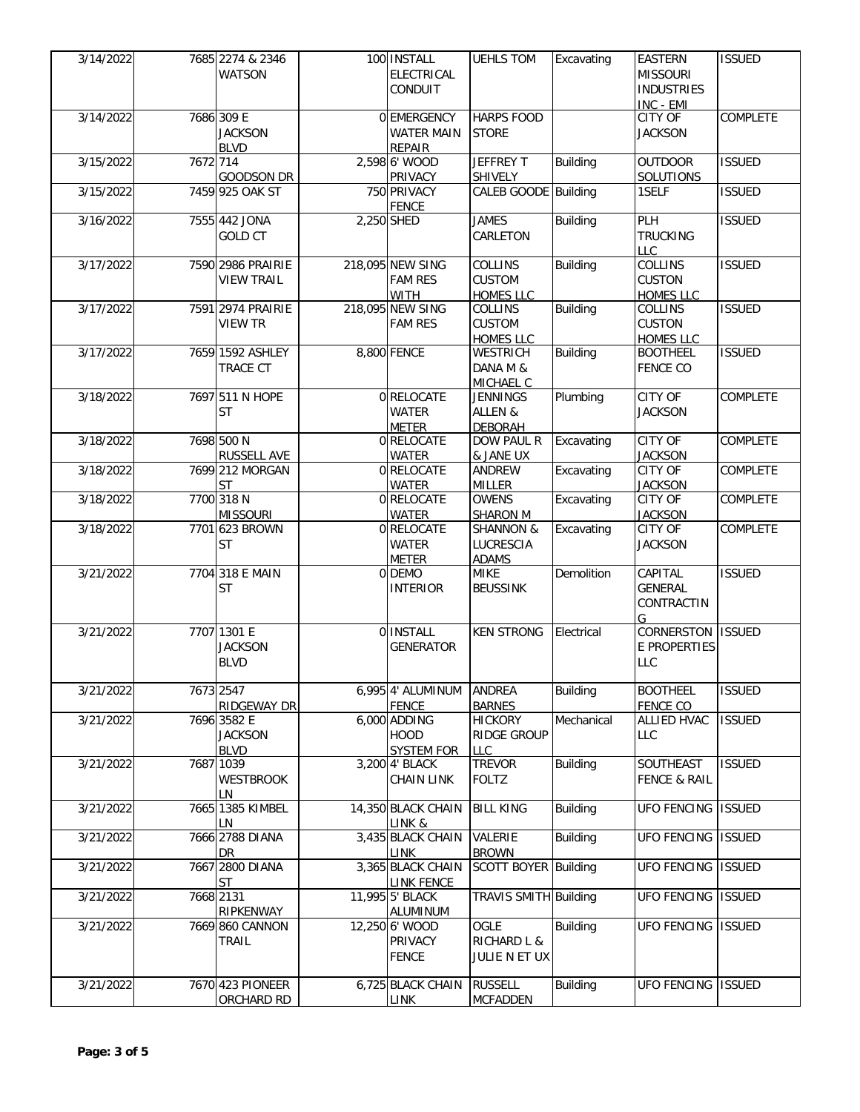| 3/14/2022 |          | 7685 2274 & 2346   | 100 INSTALL        | <b>UEHLS TOM</b>            | Excavating      | <b>EASTERN</b>          | <b>ISSUED</b> |
|-----------|----------|--------------------|--------------------|-----------------------------|-----------------|-------------------------|---------------|
|           |          | <b>WATSON</b>      | <b>ELECTRICAL</b>  |                             |                 | <b>MISSOURI</b>         |               |
|           |          |                    | <b>CONDUIT</b>     |                             |                 | <b>INDUSTRIES</b>       |               |
|           |          |                    |                    |                             |                 | INC - EMI               |               |
| 3/14/2022 |          | 7686 309 E         | 0 EMERGENCY        | <b>HARPS FOOD</b>           |                 | <b>CITY OF</b>          | COMPLETE      |
|           |          | <b>JACKSON</b>     | <b>WATER MAIN</b>  | <b>STORE</b>                |                 | <b>JACKSON</b>          |               |
|           |          |                    |                    |                             |                 |                         |               |
|           |          | <b>BLVD</b>        | <b>REPAIR</b>      |                             |                 |                         |               |
| 3/15/2022 | 7672 714 |                    | 2,598 6' WOOD      | JEFFREY T                   | <b>Building</b> | <b>OUTDOOR</b>          | <b>ISSUED</b> |
|           |          | <b>GOODSON DR</b>  | PRIVACY            | SHIVELY                     |                 | SOLUTIONS               |               |
| 3/15/2022 |          | 7459 925 OAK ST    | 750 PRIVACY        | <b>CALEB GOODE Building</b> |                 | 1SELF                   | <b>ISSUED</b> |
|           |          |                    | <b>FENCE</b>       |                             |                 |                         |               |
| 3/16/2022 |          | 7555 442 JONA      | 2,250 SHED         | <b>JAMES</b>                | <b>Building</b> | PLH                     | <b>ISSUED</b> |
|           |          | <b>GOLD CT</b>     |                    | CARLETON                    |                 | <b>TRUCKING</b>         |               |
|           |          |                    |                    |                             |                 | <b>LLC</b>              |               |
| 3/17/2022 |          | 7590 2986 PRAIRIE  | 218,095 NEW SING   | COLLINS                     | <b>Building</b> | COLLINS                 | <b>ISSUED</b> |
|           |          | <b>VIEW TRAIL</b>  | <b>FAM RES</b>     | <b>CUSTOM</b>               |                 | <b>CUSTON</b>           |               |
|           |          |                    | <b>WITH</b>        | <b>HOMES LLC</b>            |                 | <b>HOMES LLC</b>        |               |
| 3/17/2022 |          | 7591 2974 PRAIRIE  | 218,095 NEW SING   | COLLINS                     | <b>Building</b> | COLLINS                 | <b>ISSUED</b> |
|           |          |                    |                    |                             |                 |                         |               |
|           |          | <b>VIEW TR</b>     | <b>FAM RES</b>     | <b>CUSTOM</b>               |                 | <b>CUSTON</b>           |               |
|           |          |                    |                    | <b>HOMES LLC</b>            |                 | <b>HOMES LLC</b>        |               |
| 3/17/2022 |          | 7659 1592 ASHLEY   | 8,800 FENCE        | <b>WESTRICH</b>             | <b>Building</b> | <b>BOOTHEEL</b>         | <b>ISSUED</b> |
|           |          | TRACE CT           |                    | DANA M &                    |                 | <b>FENCE CO</b>         |               |
|           |          |                    |                    | MICHAEL C                   |                 |                         |               |
| 3/18/2022 |          | 7697 511 N HOPE    | 0 RELOCATE         | <b>JENNINGS</b>             | Plumbing        | <b>CITY OF</b>          | COMPLETE      |
|           |          | <b>ST</b>          | <b>WATER</b>       | ALLEN &                     |                 | <b>JACKSON</b>          |               |
|           |          |                    | <b>METER</b>       | <b>DEBORAH</b>              |                 |                         |               |
| 3/18/2022 |          | 7698 500 N         | 0 RELOCATE         | <b>DOW PAUL R</b>           | Excavating      | <b>CITY OF</b>          | COMPLETE      |
|           |          | <b>RUSSELL AVE</b> | <b>WATER</b>       | & JANE UX                   |                 | <b>JACKSON</b>          |               |
|           |          |                    |                    |                             | Excavating      | <b>CITY OF</b>          |               |
| 3/18/2022 |          | 7699 212 MORGAN    | 0 RELOCATE         | ANDREW                      |                 |                         | COMPLETE      |
|           |          | <b>ST</b>          | <b>WATER</b>       | <b>MILLER</b>               |                 | <b>JACKSON</b>          |               |
| 3/18/2022 |          | 7700 318 N         | 0 RELOCATE         | <b>OWENS</b>                | Excavating      | <b>CITY OF</b>          | COMPLETE      |
|           |          | <b>MISSOURI</b>    | <b>WATER</b>       | SHARON M                    |                 | <b>JACKSON</b>          |               |
| 3/18/2022 |          | 7701 623 BROWN     | 0 RELOCATE         | <b>SHANNON &amp;</b>        | Excavating      | <b>CITY OF</b>          | COMPLETE      |
|           |          | <b>ST</b>          | <b>WATER</b>       | LUCRESCIA                   |                 | <b>JACKSON</b>          |               |
|           |          |                    | <b>METER</b>       | <b>ADAMS</b>                |                 |                         |               |
| 3/21/2022 |          | 7704 318 E MAIN    | 0 DEMO             | <b>MIKE</b>                 | Demolition      | CAPITAL                 | <b>ISSUED</b> |
|           |          | <b>ST</b>          | <b>INTERIOR</b>    | <b>BEUSSINK</b>             |                 | GENERAL                 |               |
|           |          |                    |                    |                             |                 | CONTRACTIN              |               |
|           |          |                    |                    |                             |                 |                         |               |
|           |          | 7707 1301 E        | 0 INSTALL          |                             |                 | G<br>CORNERSTON         | <b>ISSUED</b> |
| 3/21/2022 |          |                    |                    | <b>KEN STRONG</b>           | Electrical      |                         |               |
|           |          | <b>JACKSON</b>     | <b>GENERATOR</b>   |                             |                 | E PROPERTIES            |               |
|           |          | <b>BLVD</b>        |                    |                             |                 | <b>LLC</b>              |               |
|           |          |                    |                    |                             |                 |                         |               |
| 3/21/2022 |          | 7673 2547          | 6,995 4' ALUMINUM  | <b>ANDREA</b>               | <b>Building</b> | <b>BOOTHEEL</b>         | <b>ISSUED</b> |
|           |          | RIDGEWAY DR        | <b>FENCE</b>       | <b>BARNES</b>               |                 | FENCE CO                |               |
| 3/21/2022 |          | 7696 3582 E        | 6,000 ADDING       | <b>HICKORY</b>              | Mechanical      | <b>ALLIED HVAC</b>      | <b>ISSUED</b> |
|           |          | <b>JACKSON</b>     | <b>HOOD</b>        | <b>RIDGE GROUP</b>          |                 | <b>LLC</b>              |               |
|           |          | <b>BLVD</b>        | <b>SYSTEM FOR</b>  | LLC                         |                 |                         |               |
| 3/21/2022 |          | 7687 1039          | 3,200 4' BLACK     | <b>TREVOR</b>               | <b>Building</b> | SOUTHEAST               | <b>ISSUED</b> |
|           |          |                    |                    |                             |                 |                         |               |
|           |          | <b>WESTBROOK</b>   | <b>CHAIN LINK</b>  | <b>FOLTZ</b>                |                 | <b>FENCE &amp; RAIL</b> |               |
|           |          | LN                 |                    |                             |                 |                         |               |
| 3/21/2022 |          | 7665 1385 KIMBEL   | 14,350 BLACK CHAIN | <b>BILL KING</b>            | <b>Building</b> | UFO FENCING ISSUED      |               |
|           |          | LN                 | LINK &             |                             |                 |                         |               |
| 3/21/2022 |          | 7666 2788 DIANA    | 3,435 BLACK CHAIN  | VALERIE                     | <b>Building</b> | <b>UFO FENCING</b>      | <b>ISSUED</b> |
|           |          | DR                 | LINK               | <b>BROWN</b>                |                 |                         |               |
| 3/21/2022 |          | 7667 2800 DIANA    | 3,365 BLACK CHAIN  | <b>SCOTT BOYER Building</b> |                 | <b>UFO FENCING</b>      | <b>ISSUED</b> |
|           |          | <b>ST</b>          | <b>LINK FENCE</b>  |                             |                 |                         |               |
| 3/21/2022 |          | 7668 2131          | 11,995 5' BLACK    | TRAVIS SMITH Building       |                 | <b>UFO FENCING</b>      | <b>ISSUED</b> |
|           |          | RIPKENWAY          |                    |                             |                 |                         |               |
|           |          |                    | ALUMINUM           |                             |                 |                         |               |
| 3/21/2022 |          | 7669 860 CANNON    | 12,250 6' WOOD     | OGLE                        | <b>Building</b> | UFO FENCING ISSUED      |               |
|           |          | TRAIL              | PRIVACY            | <b>RICHARD L &amp;</b>      |                 |                         |               |
|           |          |                    | <b>FENCE</b>       | JULIE N ET UX               |                 |                         |               |
|           |          |                    |                    |                             |                 |                         |               |
| 3/21/2022 |          | 7670 423 PIONEER   | 6,725 BLACK CHAIN  | <b>RUSSELL</b>              | <b>Building</b> | UFO FENCING ISSUED      |               |
|           |          |                    |                    |                             |                 |                         |               |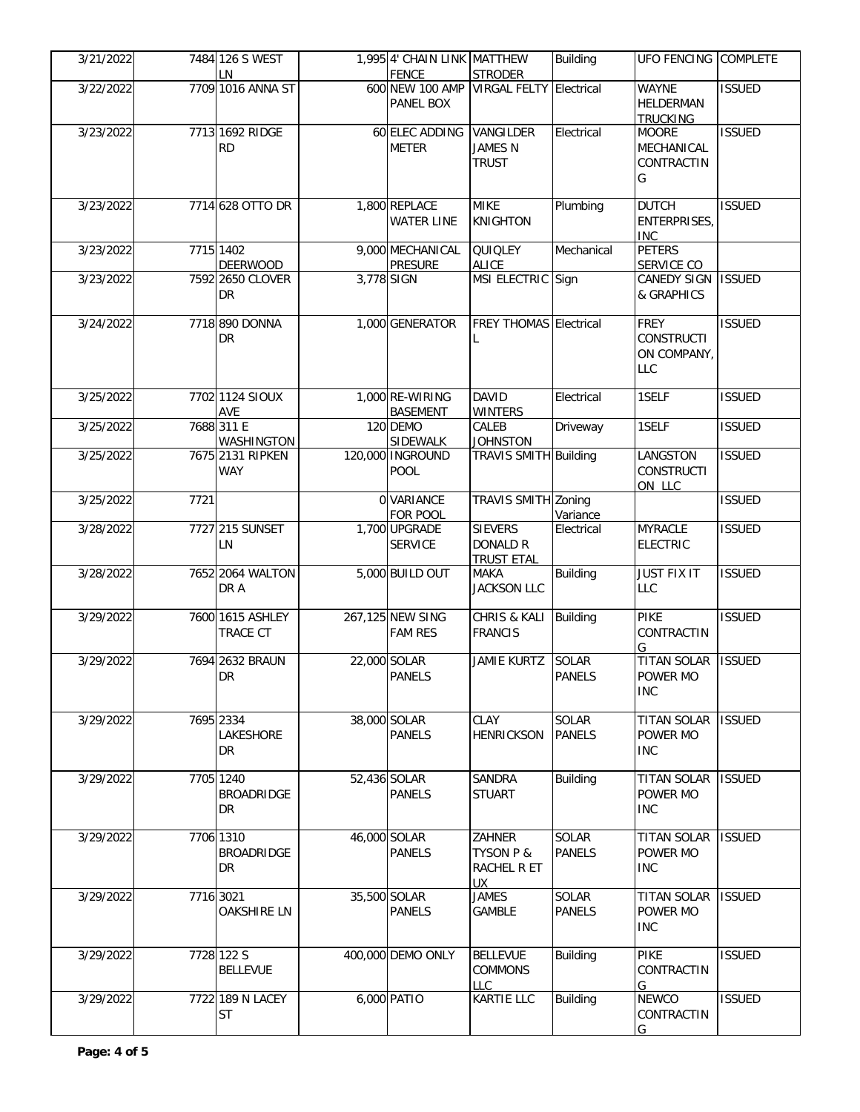| 3/21/2022 |           | 7484 126 S WEST<br>LN                       |            | 1,995 4' CHAIN LINK MATTHEW<br><b>FENCE</b> | <b>STRODER</b>                                             | <b>Building</b>               | UFO FENCING COMPLETE                                          |               |
|-----------|-----------|---------------------------------------------|------------|---------------------------------------------|------------------------------------------------------------|-------------------------------|---------------------------------------------------------------|---------------|
| 3/22/2022 |           | 7709 1016 ANNA ST                           |            | PANEL BOX                                   | 600 NEW 100 AMP VIRGAL FELTY Electrical                    |                               | <b>WAYNE</b><br><b>HELDERMAN</b><br><b>TRUCKING</b>           | <b>ISSUED</b> |
| 3/23/2022 |           | 7713 1692 RIDGE<br><b>RD</b>                |            | 60 ELEC ADDING<br><b>METER</b>              | VANGILDER<br><b>JAMES N</b><br><b>TRUST</b>                | Electrical                    | <b>MOORE</b><br>MECHANICAL<br>CONTRACTIN<br>G                 | <b>ISSUED</b> |
| 3/23/2022 |           | 7714 628 OTTO DR                            |            | 1,800 REPLACE<br><b>WATER LINE</b>          | <b>MIKE</b><br><b>KNIGHTON</b>                             | Plumbing                      | <b>DUTCH</b><br><b>ENTERPRISES</b><br><b>INC</b>              | <b>ISSUED</b> |
| 3/23/2022 |           | 7715 1402<br><b>DEERWOOD</b>                |            | 9,000 MECHANICAL<br><b>PRESURE</b>          | QUIQLEY<br><b>ALICE</b>                                    | Mechanical                    | <b>PETERS</b><br>SERVICE CO                                   |               |
| 3/23/2022 |           | 7592 2650 CLOVER<br><b>DR</b>               | 3,778 SIGN |                                             | MSI ELECTRIC Sign                                          |                               | <b>CANEDY SIGN</b><br>& GRAPHICS                              | <b>ISSUED</b> |
| 3/24/2022 |           | 7718 890 DONNA<br><b>DR</b>                 |            | 1,000 GENERATOR                             | <b>FREY THOMAS Electrical</b>                              |                               | <b>FREY</b><br><b>CONSTRUCTI</b><br>ON COMPANY,<br><b>LLC</b> | <b>ISSUED</b> |
| 3/25/2022 |           | 7702 1124 SIOUX<br>AVE                      |            | 1,000 RE-WIRING<br><b>BASEMENT</b>          | <b>DAVID</b><br><b>WINTERS</b>                             | Electrical                    | 1SELF                                                         | <b>ISSUED</b> |
| 3/25/2022 |           | 7688 311 E<br><b>WASHINGTON</b>             |            | 120 DEMO<br>SIDEWALK                        | CALEB<br><b>JOHNSTON</b>                                   | Driveway                      | 1SELF                                                         | <b>ISSUED</b> |
| 3/25/2022 |           | 7675 2131 RIPKEN<br><b>WAY</b>              |            | 120,000 INGROUND<br><b>POOL</b>             | TRAVIS SMITH Building                                      |                               | LANGSTON<br><b>CONSTRUCTI</b><br>ON LLC                       | <b>ISSUED</b> |
| 3/25/2022 | 7721      |                                             |            | 0 VARIANCE<br>FOR POOL                      | TRAVIS SMITH Zoning                                        | Variance                      |                                                               | <b>ISSUED</b> |
| 3/28/2022 |           | 7727 215 SUNSET<br>LN                       |            | 1,700 UPGRADE<br><b>SERVICE</b>             | <b>SIEVERS</b><br><b>DONALD R</b><br><b>TRUST ETAL</b>     | Electrical                    | <b>MYRACLE</b><br><b>ELECTRIC</b>                             | <b>ISSUED</b> |
| 3/28/2022 |           | 7652 2064 WALTON<br>DR A                    |            | 5,000 BUILD OUT                             | <b>MAKA</b><br><b>JACKSON LLC</b>                          | <b>Building</b>               | <b>JUST FIX IT</b><br><b>LLC</b>                              | <b>ISSUED</b> |
| 3/29/2022 |           | 7600 1615 ASHLEY<br>TRACE CT                |            | 267,125 NEW SING<br><b>FAM RES</b>          | CHRIS & KALI<br><b>FRANCIS</b>                             | <b>Building</b>               | <b>PIKE</b><br>CONTRACTIN<br>G                                | <b>ISSUED</b> |
| 3/29/2022 |           | 7694 2632 BRAUN<br><b>DR</b>                |            | 22,000 SOLAR<br><b>PANELS</b>               | <b>JAMIE KURTZ</b>                                         | <b>SOLAR</b><br><b>PANELS</b> | <b>TITAN SOLAR</b><br>POWER MO<br><b>INC</b>                  | <b>ISSUED</b> |
| 3/29/2022 |           | 7695 2334<br>LAKESHORE<br><b>DR</b>         |            | 38,000 SOLAR<br><b>PANELS</b>               | CLAY<br><b>HENRICKSON</b>                                  | SOLAR<br><b>PANELS</b>        | <b>TITAN SOLAR</b><br>POWER MO<br><b>INC</b>                  | <b>ISSUED</b> |
| 3/29/2022 |           | 7705 1240<br><b>BROADRIDGE</b><br><b>DR</b> |            | 52,436 SOLAR<br><b>PANELS</b>               | <b>SANDRA</b><br><b>STUART</b>                             | <b>Building</b>               | <b>TITAN SOLAR</b><br>POWER MO<br><b>INC</b>                  | <b>ISSUED</b> |
| 3/29/2022 |           | 7706 1310<br><b>BROADRIDGE</b><br><b>DR</b> |            | 46,000 SOLAR<br><b>PANELS</b>               | ZAHNER<br><b>TYSON P &amp;</b><br>RACHEL R ET<br><b>UX</b> | SOLAR<br><b>PANELS</b>        | <b>TITAN SOLAR</b><br>POWER MO<br><b>INC</b>                  | <b>ISSUED</b> |
| 3/29/2022 | 7716 3021 | <b>OAKSHIRE LN</b>                          |            | 35,500 SOLAR<br><b>PANELS</b>               | <b>JAMES</b><br>GAMBLE                                     | SOLAR<br><b>PANELS</b>        | <b>TITAN SOLAR</b><br>POWER MO<br><b>INC</b>                  | <b>ISSUED</b> |
| 3/29/2022 |           | 7728 122 S<br><b>BELLEVUE</b>               |            | 400,000 DEMO ONLY                           | <b>BELLEVUE</b><br><b>COMMONS</b><br>LLC                   | <b>Building</b>               | <b>PIKE</b><br>CONTRACTIN<br>G                                | <b>ISSUED</b> |
| 3/29/2022 |           | 7722 189 N LACEY<br><b>ST</b>               |            | 6,000 PATIO                                 | <b>KARTIE LLC</b>                                          | <b>Building</b>               | <b>NEWCO</b><br>CONTRACTIN<br>G                               | <b>ISSUED</b> |